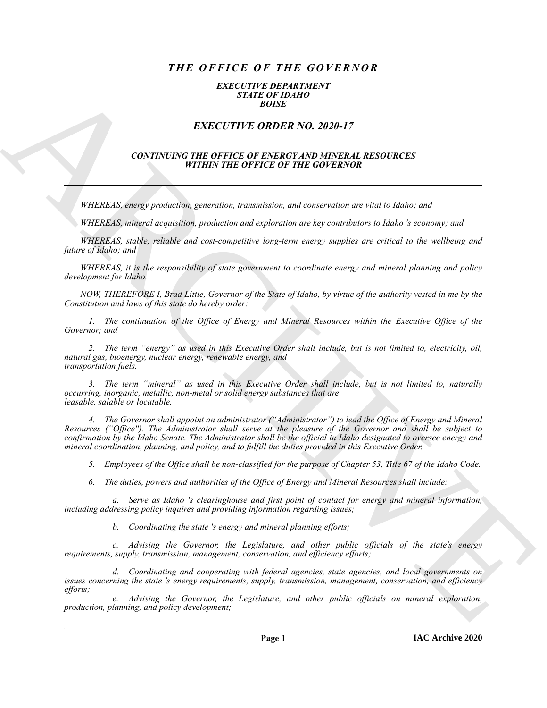# *THE OFFICE OF THE GOVERNOR*

#### *EXECUTIVE DEPARTMENT STATE OF IDAHO BOISE*

## *EXECUTIVE ORDER NO. 2020-17*

### *CONTINUING THE OFFICE OF ENERGY AND MINERAL RESOURCES WITHIN THE OFFICE OF THE GOVERNOR*

*WHEREAS, energy production, generation, transmission, and conservation are vital to Idaho; and*

*WHEREAS, mineral acquisition, production and exploration are key contributors to Idaho 's economy; and*

*WHEREAS, stable, reliable and cost-competitive long-term energy supplies are critical to the wellbeing and future of Idaho; and*

*WHEREAS, it is the responsibility of state government to coordinate energy and mineral planning and policy development for Idaho.*

*NOW, THEREFORE I, Brad Little, Governor of the State of Idaho, by virtue of the authority vested in me by the Constitution and laws of this state do hereby order:*

*1. The continuation of the Office of Energy and Mineral Resources within the Executive Office of the Governor; and*

*2. The term "energy" as used in this Executive Order shall include, but is not limited to, electricity, oil, natural gas, bioenergy, nuclear energy, renewable energy, and transportation fuels.*

*3. The term "mineral" as used in this Executive Order shall include, but is not limited to, naturally occurring, inorganic, metallic, non-metal or solid energy substances that are leasable, salable or locatable.*

**EXACTLY IF:** ORDER NO. 2020-17<br>
EXACTLY IF: ORDER NO. 2020-17<br>
EXACTLY IF: ORDER NO. 2020-17<br>
CONTINUES THE OFFICE OF EXAMPLE OF BILICATION IS ARREST TO A CONTINUES OF EXAMPLE OF THE CONTENT OF THE OFFICE OF THE CONTENT *4. The Governor shall appoint an administrator ("Administrator") to lead the Office of Energy and Mineral Resources ("Office''). The Administrator shall serve at the pleasure of the Governor and shall be subject to confirmation by the Idaho Senate. The Administrator shall be the official in Idaho designated to oversee energy and mineral coordination, planning, and policy, and to fulfill the duties provided in this Executive Order.*

*5. Employees of the Office shall be non-classified for the purpose of Chapter 53, Title 67 of the Idaho Code.*

*6. The duties, powers and authorities of the Office of Energy and Mineral Resources shall include:*

*a. Serve as Idaho 's clearinghouse and first point of contact for energy and mineral information, including addressing policy inquires and providing information regarding issues;*

*b. Coordinating the state 's energy and mineral planning efforts;*

*c. Advising the Governor, the Legislature, and other public officials of the state's energy requirements, supply, transmission, management, conservation, and efficiency efforts;*

*d. Coordinating and cooperating with federal agencies, state agencies, and local governments on issues concerning the state 's energy requirements, supply, transmission, management, conservation, and efficiency efforts;*

*e. Advising the Governor, the Legislature, and other public officials on mineral exploration, production, planning, and policy development;*